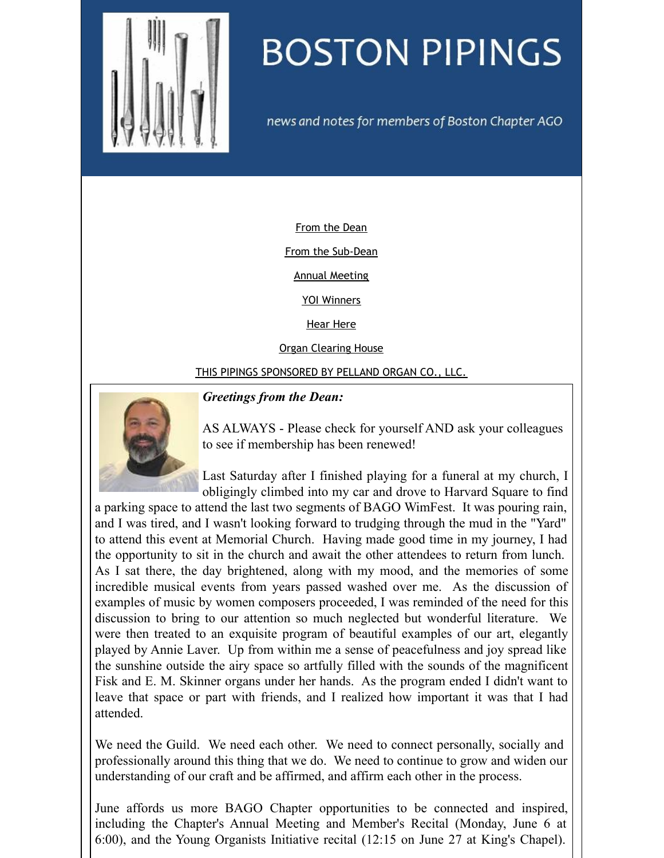<span id="page-0-0"></span>

# **BOSTON PIPINGS**

news and notes for members of Boston Chapter AGO

[From](#page-0-0) the Dean

From the [Sub-Dean](#page-0-0)

Annual [Meeting](#page-0-0)

YOI [Winners](#page-0-0)

Hear [Here](#page-0-0)

Organ [Clearing](#page-0-0) House

THIS PIPINGS [SPONSORED](#page-0-0) BY PELLAND ORGAN CO., LLC.



#### *Greetings from the Dean:*

AS ALWAYS - Please check for yourself AND ask your colleagues to see if membership has been renewed!

Last Saturday after I finished playing for a funeral at my church, I obligingly climbed into my car and drove to Harvard Square to find

a parking space to attend the last two segments of BAGO WimFest. It was pouring rain, and I was tired, and I wasn't looking forward to trudging through the mud in the "Yard" to attend this event at Memorial Church. Having made good time in my journey, I had the opportunity to sit in the church and await the other attendees to return from lunch. As I sat there, the day brightened, along with my mood, and the memories of some incredible musical events from years passed washed over me. As the discussion of examples of music by women composers proceeded, I was reminded of the need for this discussion to bring to our attention so much neglected but wonderful literature. We were then treated to an exquisite program of beautiful examples of our art, elegantly played by Annie Laver. Up from within me a sense of peacefulness and joy spread like the sunshine outside the airy space so artfully filled with the sounds of the magnificent Fisk and E. M. Skinner organs under her hands. As the program ended I didn't want to leave that space or part with friends, and I realized how important it was that I had attended.

We need the Guild. We need each other. We need to connect personally, socially and professionally around this thing that we do. We need to continue to grow and widen our understanding of our craft and be affirmed, and affirm each other in the process.

June affords us more BAGO Chapter opportunities to be connected and inspired, including the Chapter's Annual Meeting and Member's Recital (Monday, June 6 at 6:00), and the Young Organists Initiative recital (12:15 on June 27 at King's Chapel).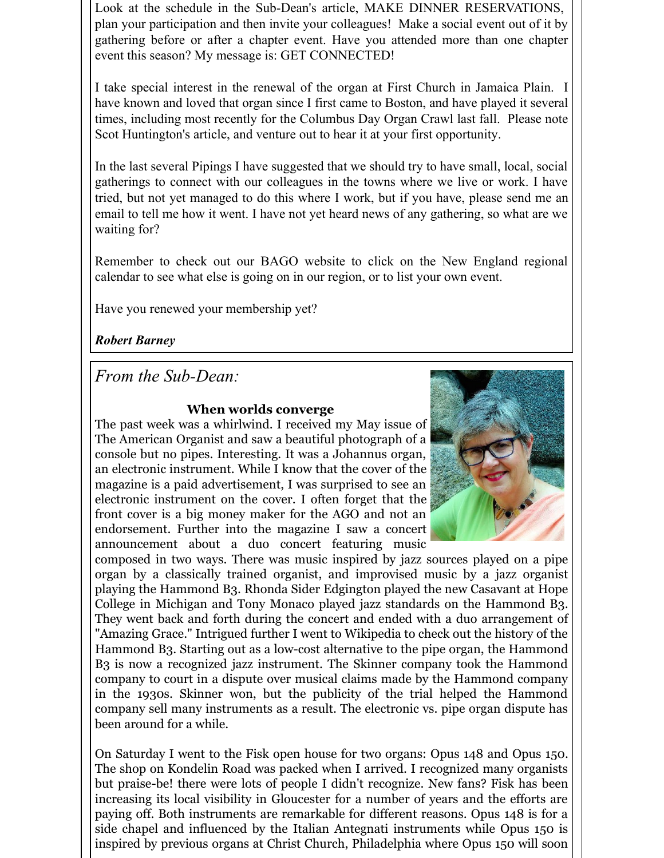Look at the schedule in the Sub-Dean's article, MAKE DINNER RESERVATIONS, plan your participation and then invite your colleagues! Make a social event out of it by gathering before or after a chapter event. Have you attended more than one chapter event this season? My message is: GET CONNECTED!

I take special interest in the renewal of the organ at First Church in Jamaica Plain. I have known and loved that organ since I first came to Boston, and have played it several times, including most recently for the Columbus Day Organ Crawl last fall. Please note Scot Huntington's article, and venture out to hear it at your first opportunity.

In the last several Pipings I have suggested that we should try to have small, local, social gatherings to connect with our colleagues in the towns where we live or work. I have tried, but not yet managed to do this where I work, but if you have, please send me an email to tell me how it went. I have not yet heard news of any gathering, so what are we waiting for?

Remember to check out our BAGO website to click on the New England regional calendar to see what else is going on in our region, or to list your own event.

Have you renewed your membership yet?

*Robert Barney*

*From the Sub-Dean:*

### **When worlds converge**

The past week was a whirlwind. I received my May issue of The American Organist and saw a beautiful photograph of a console but no pipes. Interesting. It was a Johannus organ, an electronic instrument. While I know that the cover of the magazine is a paid advertisement, I was surprised to see an electronic instrument on the cover. I often forget that the front cover is a big money maker for the AGO and not an endorsement. Further into the magazine I saw a concert announcement about a duo concert featuring music



composed in two ways. There was music inspired by jazz sources played on a pipe organ by a classically trained organist, and improvised music by a jazz organist playing the Hammond B3. Rhonda Sider Edgington played the new Casavant at Hope College in Michigan and Tony Monaco played jazz standards on the Hammond B3. They went back and forth during the concert and ended with a duo arrangement of "Amazing Grace." Intrigued further I went to Wikipedia to check out the history of the Hammond B3. Starting out as a low-cost alternative to the pipe organ, the Hammond B3 is now a recognized jazz instrument. The Skinner company took the Hammond company to court in a dispute over musical claims made by the Hammond company in the 1930s. Skinner won, but the publicity of the trial helped the Hammond company sell many instruments as a result. The electronic vs. pipe organ dispute has been around for a while.

On Saturday I went to the Fisk open house for two organs: Opus 148 and Opus 150. The shop on Kondelin Road was packed when I arrived. I recognized many organists but praise-be! there were lots of people I didn't recognize. New fans? Fisk has been increasing its local visibility in Gloucester for a number of years and the efforts are paying off. Both instruments are remarkable for different reasons. Opus 148 is for a side chapel and influenced by the Italian Antegnati instruments while Opus 150 is inspired by previous organs at Christ Church, Philadelphia where Opus 150 will soon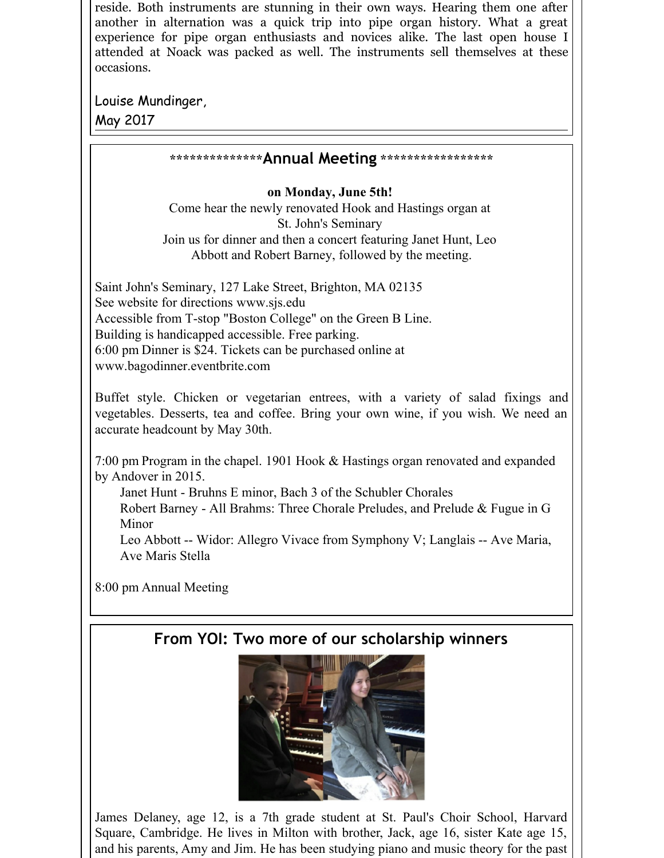reside. Both instruments are stunning in their own ways. Hearing them one after another in alternation was a quick trip into pipe organ history. What a great experience for pipe organ enthusiasts and novices alike. The last open house I attended at Noack was packed as well. The instruments sell themselves at these occasions.

Louise Mundinger,



8:00 pm Annual Meeting

## **From YOI: Two more of our scholarship winners**



James Delaney, age 12, is a 7th grade student at St. Paul's Choir School, Harvard Square, Cambridge. He lives in Milton with brother, Jack, age 16, sister Kate age 15, and his parents, Amy and Jim. He has been studying piano and music theory for the past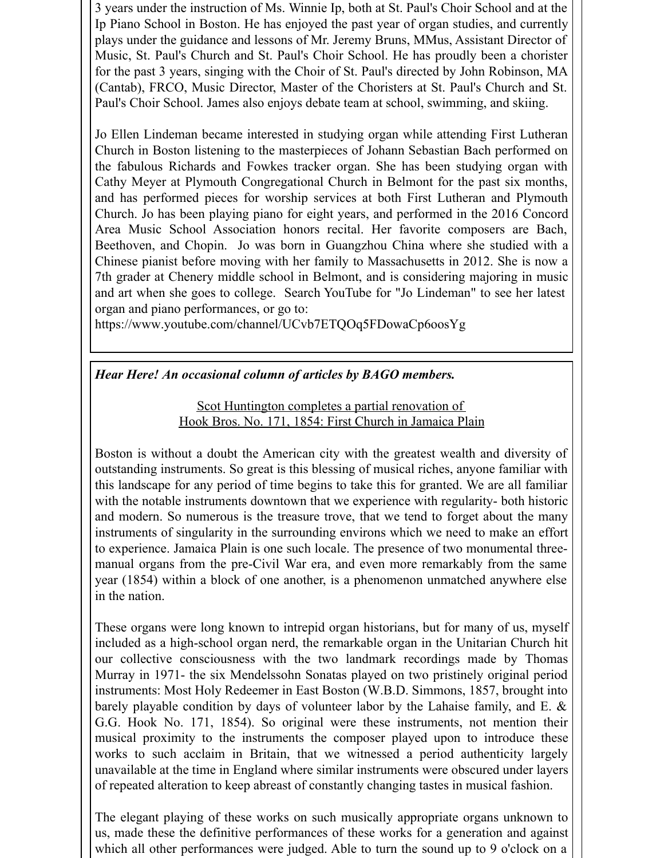3 years under the instruction of Ms. Winnie Ip, both at St. Paul's Choir School and at the Ip Piano School in Boston. He has enjoyed the past year of organ studies, and currently plays under the guidance and lessons of Mr. Jeremy Bruns, MMus, Assistant Director of Music, St. Paul's Church and St. Paul's Choir School. He has proudly been a chorister for the past 3 years, singing with the Choir of St. Paul's directed by John Robinson, MA (Cantab), FRCO, Music Director, Master of the Choristers at St. Paul's Church and St. Paul's Choir School. James also enjoys debate team at school, swimming, and skiing.

Jo Ellen Lindeman became interested in studying organ while attending First Lutheran Church in Boston listening to the masterpieces of Johann Sebastian Bach performed on the fabulous Richards and Fowkes tracker organ. She has been studying organ with Cathy Meyer at Plymouth Congregational Church in Belmont for the past six months, and has performed pieces for worship services at both First Lutheran and Plymouth Church. Jo has been playing piano for eight years, and performed in the 2016 Concord Area Music School Association honors recital. Her favorite composers are Bach, Beethoven, and Chopin. Jo was born in Guangzhou China where she studied with a Chinese pianist before moving with her family to Massachusetts in 2012. She is now a 7th grader at Chenery middle school in Belmont, and is considering majoring in music and art when she goes to college. Search YouTube for "Jo Lindeman" to see her latest organ and piano performances, or go to:

https://www.youtube.com/channel/UCvb7ETQOq5FDowaCp6oosYg

#### *Hear Here! An occasional column of articles by BAGO members.*

Scot Huntington completes a partial renovation of Hook Bros. No. 171, 1854: First Church in Jamaica Plain

Boston is without a doubt the American city with the greatest wealth and diversity of outstanding instruments. So great is this blessing of musical riches, anyone familiar with this landscape for any period of time begins to take this for granted. We are all familiar with the notable instruments downtown that we experience with regularity- both historic and modern. So numerous is the treasure trove, that we tend to forget about the many instruments of singularity in the surrounding environs which we need to make an effort to experience. Jamaica Plain is one such locale. The presence of two monumental threemanual organs from the pre-Civil War era, and even more remarkably from the same year (1854) within a block of one another, is a phenomenon unmatched anywhere else in the nation.

These organs were long known to intrepid organ historians, but for many of us, myself included as a high-school organ nerd, the remarkable organ in the Unitarian Church hit our collective consciousness with the two landmark recordings made by Thomas Murray in 1971- the six Mendelssohn Sonatas played on two pristinely original period instruments: Most Holy Redeemer in East Boston (W.B.D. Simmons, 1857, brought into barely playable condition by days of volunteer labor by the Lahaise family, and E. & G.G. Hook No. 171, 1854). So original were these instruments, not mention their musical proximity to the instruments the composer played upon to introduce these works to such acclaim in Britain, that we witnessed a period authenticity largely unavailable at the time in England where similar instruments were obscured under layers of repeated alteration to keep abreast of constantly changing tastes in musical fashion.

The elegant playing of these works on such musically appropriate organs unknown to us, made these the definitive performances of these works for a generation and against which all other performances were judged. Able to turn the sound up to 9 o'clock on a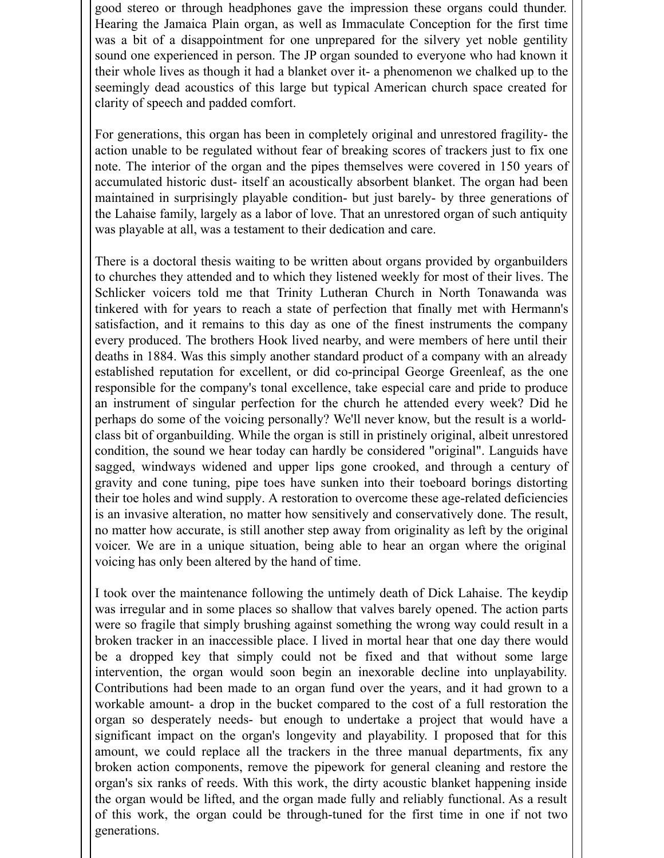good stereo or through headphones gave the impression these organs could thunder. Hearing the Jamaica Plain organ, as well as Immaculate Conception for the first time was a bit of a disappointment for one unprepared for the silvery yet noble gentility sound one experienced in person. The JP organ sounded to everyone who had known it their whole lives as though it had a blanket over it- a phenomenon we chalked up to the seemingly dead acoustics of this large but typical American church space created for clarity of speech and padded comfort.

For generations, this organ has been in completely original and unrestored fragility- the action unable to be regulated without fear of breaking scores of trackers just to fix one note. The interior of the organ and the pipes themselves were covered in 150 years of accumulated historic dust- itself an acoustically absorbent blanket. The organ had been maintained in surprisingly playable condition- but just barely- by three generations of the Lahaise family, largely as a labor of love. That an unrestored organ of such antiquity was playable at all, was a testament to their dedication and care.

There is a doctoral thesis waiting to be written about organs provided by organbuilders to churches they attended and to which they listened weekly for most of their lives. The Schlicker voicers told me that Trinity Lutheran Church in North Tonawanda was tinkered with for years to reach a state of perfection that finally met with Hermann's satisfaction, and it remains to this day as one of the finest instruments the company every produced. The brothers Hook lived nearby, and were members of here until their deaths in 1884. Was this simply another standard product of a company with an already established reputation for excellent, or did co-principal George Greenleaf, as the one responsible for the company's tonal excellence, take especial care and pride to produce an instrument of singular perfection for the church he attended every week? Did he perhaps do some of the voicing personally? We'll never know, but the result is a worldclass bit of organbuilding. While the organ is still in pristinely original, albeit unrestored condition, the sound we hear today can hardly be considered "original". Languids have sagged, windways widened and upper lips gone crooked, and through a century of gravity and cone tuning, pipe toes have sunken into their toeboard borings distorting their toe holes and wind supply. A restoration to overcome these age-related deficiencies is an invasive alteration, no matter how sensitively and conservatively done. The result, no matter how accurate, is still another step away from originality as left by the original voicer. We are in a unique situation, being able to hear an organ where the original voicing has only been altered by the hand of time.

I took over the maintenance following the untimely death of Dick Lahaise. The keydip was irregular and in some places so shallow that valves barely opened. The action parts were so fragile that simply brushing against something the wrong way could result in a broken tracker in an inaccessible place. I lived in mortal hear that one day there would be a dropped key that simply could not be fixed and that without some large intervention, the organ would soon begin an inexorable decline into unplayability. Contributions had been made to an organ fund over the years, and it had grown to a workable amount- a drop in the bucket compared to the cost of a full restoration the organ so desperately needs- but enough to undertake a project that would have a significant impact on the organ's longevity and playability. I proposed that for this amount, we could replace all the trackers in the three manual departments, fix any broken action components, remove the pipework for general cleaning and restore the organ's six ranks of reeds. With this work, the dirty acoustic blanket happening inside the organ would be lifted, and the organ made fully and reliably functional. As a result of this work, the organ could be through-tuned for the first time in one if not two generations.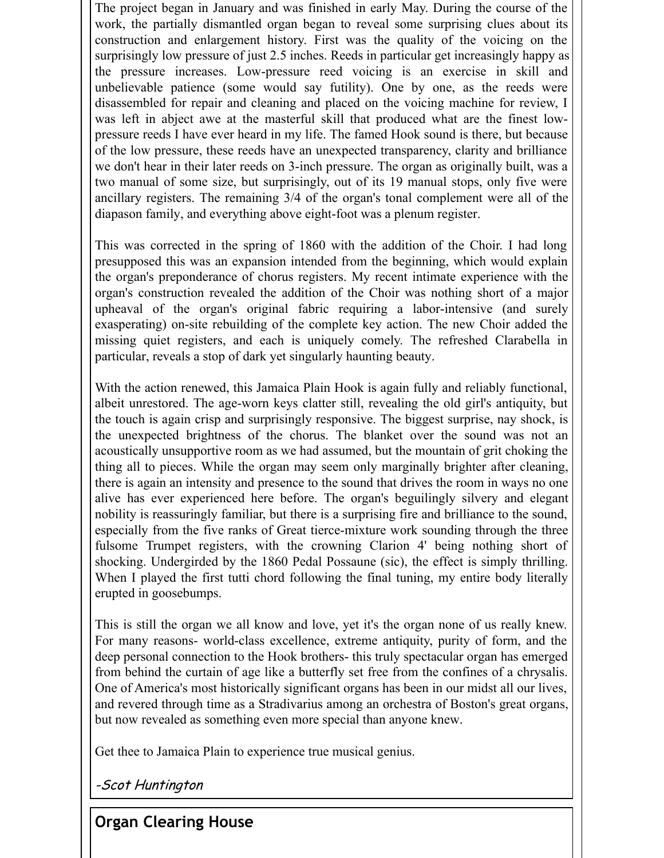The project began in January and was finished in early May. During the course of the work, the partially dismantled organ began to reveal some surprising clues about its construction and enlargement history. First was the quality of the voicing on the surprisingly low pressure of just 2.5 inches. Reeds in particular get increasingly happy as the pressure increases. Low-pressure reed voicing is an exercise in skill and unbelievable patience (some would say futility). One by one, as the reeds were disassembled for repair and cleaning and placed on the voicing machine for review, I was left in abject awe at the masterful skill that produced what are the finest lowpressure reeds I have ever heard in my life. The famed Hook sound is there, but because of the low pressure, these reeds have an unexpected transparency, clarity and brilliance we don't hear in their later reeds on 3-inch pressure. The organ as originally built, was a two manual of some size, but surprisingly, out of its 19 manual stops, only five were ancillary registers. The remaining 3/4 of the organ's tonal complement were all of the diapason family, and everything above eight-foot was a plenum register.

This was corrected in the spring of 1860 with the addition of the Choir. I had long presupposed this was an expansion intended from the beginning, which would explain the organ's preponderance of chorus registers. My recent intimate experience with the organ's construction revealed the addition of the Choir was nothing short of a major upheaval of the organ's original fabric requiring a labor-intensive (and surely exasperating) on-site rebuilding of the complete key action. The new Choir added the missing quiet registers, and each is uniquely comely. The refreshed Clarabella in particular, reveals a stop of dark yet singularly haunting beauty.

With the action renewed, this Jamaica Plain Hook is again fully and reliably functional, albeit unrestored. The age-worn keys clatter still, revealing the old girl's antiquity, but the touch is again crisp and surprisingly responsive. The biggest surprise, nay shock, is the unexpected brightness of the chorus. The blanket over the sound was not an acoustically unsupportive room as we had assumed, but the mountain of grit choking the thing all to pieces. While the organ may seem only marginally brighter after cleaning, there is again an intensity and presence to the sound that drives the room in ways no one alive has ever experienced here before. The organ's beguilingly silvery and elegant nobility is reassuringly familiar, but there is a surprising fire and brilliance to the sound, especially from the five ranks of Great tierce-mixture work sounding through the three fulsome Trumpet registers, with the crowning Clarion 4' being nothing short of shocking. Undergirded by the 1860 Pedal Possaune (sic), the effect is simply thrilling. When I played the first tutti chord following the final tuning, my entire body literally erupted in goosebumps.

This is still the organ we all know and love, yet it's the organ none of us really knew. For many reasons- world-class excellence, extreme antiquity, purity of form, and the deep personal connection to the Hook brothers- this truly spectacular organ has emerged from behind the curtain of age like a butterfly set free from the confines of a chrysalis. One of America's most historically significant organs has been in our midst all our lives, and revered through time as a Stradivarius among an orchestra of Boston's great organs, but now revealed as something even more special than anyone knew.

Get thee to Jamaica Plain to experience true musical genius.

-Scot Huntington

**Organ Clearing House**